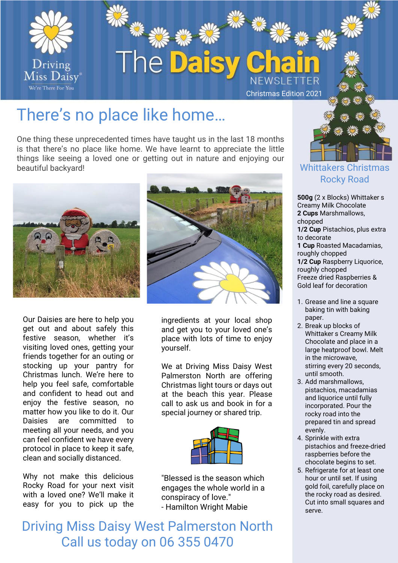

#### There's no place like home…

One thing these unprecedented times have taught us in the last 18 months is that there's no place like home. We have learnt to appreciate the little things like seeing a loved one or getting out in nature and enjoying our beautiful backyard!



Our Daisies are here to help you get out and about safely this festive season, whether it's visiting loved ones, getting your friends together for an outing or stocking up your pantry for Christmas lunch. We're here to help you feel safe, comfortable and confident to head out and enjoy the festive season, no matter how you like to do it. Our Daisies are committed to meeting all your needs, and you can feel confident we have every protocol in place to keep it safe, clean and socially distanced.

Why not make this delicious Rocky Road for your next visit with a loved one? We'll make it easy for you to pick up the



ingredients at your local shop and get you to your loved one's place with lots of time to enjoy yourself.

We at Driving Miss Daisy West Palmerston North are offering Christmas light tours or days out at the beach this year. Please call to ask us and book in for a special journey or shared trip.



"Blessed is the season which engages the whole world in a conspiracy of love." - Hamilton Wright Mabie

Driving Miss Daisy West Palmerston North Call us today on 06 355 0470



Whittakers Christmas Rocky Road

**500g** (2 x Blocks) Whittaker s Creamy Milk Chocolate **2 Cups** Marshmallows, chopped **1/2 Cup** Pistachios, plus extra to decorate **1 Cup** Roasted Macadamias, roughly chopped **1/2 Cup** Raspberry Liquorice, roughly chopped Freeze dried Raspberries & Gold leaf for decoration

- 1. Grease and line a square baking tin with baking paper.
- 2. Break up blocks of Whittaker s Creamy Milk Chocolate and place in a large heatproof bowl. Melt in the microwave, stirring every 20 seconds, until smooth.
- 3. Add marshmallows, pistachios, macadamias and liquorice until fully incorporated. Pour the rocky road into the prepared tin and spread evenly.
- 4. Sprinkle with extra pistachios and freeze-dried raspberries before the chocolate begins to set.
- 5. Refrigerate for at least one hour or until set. If using gold foil, carefully place on the rocky road as desired. Cut into small squares and serve.